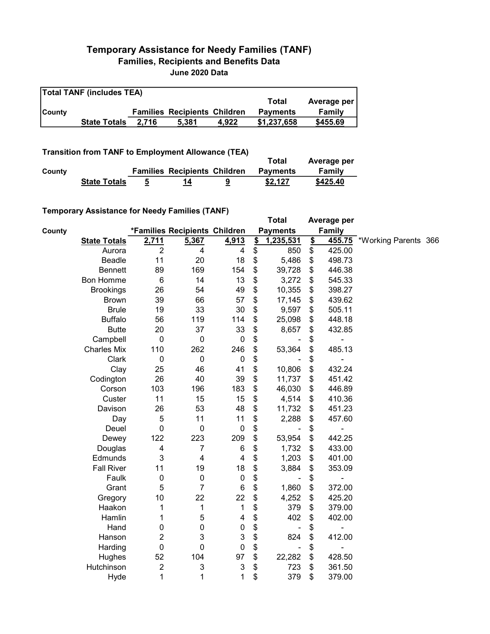## Temporary Assistance for Needy Families (TANF) Families, Recipients and Benefits Data June 2020 Data

| <b>Total TANF (includes TEA)</b> |                     |       |                                     |       |                 |             |  |  |  |
|----------------------------------|---------------------|-------|-------------------------------------|-------|-----------------|-------------|--|--|--|
|                                  |                     |       |                                     |       | Total           | Average per |  |  |  |
| <b>County</b>                    |                     |       | <b>Families Recipients Children</b> |       | <b>Payments</b> | Family      |  |  |  |
|                                  | <b>State Totals</b> | 2.716 | 5,381                               | 4.922 | \$1,237,658     | \$455.69    |  |  |  |

## Transition from TANF to Employment Allowance (TEA)

|        | <b>Transition from TANITO Employment Allowance (TEA)</b> |                                     | Total           | Average per   |
|--------|----------------------------------------------------------|-------------------------------------|-----------------|---------------|
| County |                                                          | <b>Families Recipients Children</b> | <b>Payments</b> | <b>Family</b> |
|        | <b>State Totals</b>                                      | 14                                  | \$2,127         | \$425.40      |

## Temporary Assistance for Needy Families (TANF)

|        | $\frac{1}{2}$ , to secure is the same of the state $\frac{1}{2}$ |                |                               |                  |                           | <b>Total</b>    |               | Average per |                             |  |
|--------|------------------------------------------------------------------|----------------|-------------------------------|------------------|---------------------------|-----------------|---------------|-------------|-----------------------------|--|
| County |                                                                  |                | *Families Recipients Children |                  |                           | <b>Payments</b> |               | Family      |                             |  |
|        | <b>State Totals</b>                                              | 2,711          | 5,367                         | 4,913            | $\mathbf{\underline{\$}}$ | 1,235,531       | $\frac{2}{3}$ |             | 455.75 *Working Parents 366 |  |
|        | Aurora                                                           | $\overline{2}$ | 4                             | 4                | \$                        | 850             | \$            | 425.00      |                             |  |
|        | <b>Beadle</b>                                                    | 11             | 20                            | 18               | \$                        | 5,486           | \$            | 498.73      |                             |  |
|        | <b>Bennett</b>                                                   | 89             | 169                           | 154              | \$                        | 39,728          | \$            | 446.38      |                             |  |
|        | Bon Homme                                                        | 6              | 14                            | 13               | \$                        | 3,272           | \$            | 545.33      |                             |  |
|        | <b>Brookings</b>                                                 | 26             | 54                            | 49               | \$                        | 10,355          | \$            | 398.27      |                             |  |
|        | <b>Brown</b>                                                     | 39             | 66                            | 57               | \$                        | 17,145          | \$            | 439.62      |                             |  |
|        | <b>Brule</b>                                                     | 19             | 33                            | 30               | \$                        | 9,597           | \$            | 505.11      |                             |  |
|        | <b>Buffalo</b>                                                   | 56             | 119                           | 114              | \$                        | 25,098          | \$            | 448.18      |                             |  |
|        | <b>Butte</b>                                                     | 20             | 37                            | 33               | \$                        | 8,657           | \$            | 432.85      |                             |  |
|        | Campbell                                                         | $\mathbf 0$    | $\pmb{0}$                     | $\boldsymbol{0}$ | \$                        |                 | \$            |             |                             |  |
|        | <b>Charles Mix</b>                                               | 110            | 262                           | 246              | \$                        | 53,364          | \$            | 485.13      |                             |  |
|        | Clark                                                            | $\mathbf 0$    | $\pmb{0}$                     | $\mathbf 0$      | \$                        |                 | \$            |             |                             |  |
|        | Clay                                                             | 25             | 46                            | 41               | \$                        | 10,806          | \$            | 432.24      |                             |  |
|        | Codington                                                        | 26             | 40                            | 39               | \$                        | 11,737          | \$            | 451.42      |                             |  |
|        | Corson                                                           | 103            | 196                           | 183              | \$                        | 46,030          | \$            | 446.89      |                             |  |
|        | Custer                                                           | 11             | 15                            | 15               | \$                        | 4,514           | \$            | 410.36      |                             |  |
|        | Davison                                                          | 26             | 53                            | 48               | \$                        | 11,732          | \$            | 451.23      |                             |  |
|        | Day                                                              | 5              | 11                            | 11               | \$                        | 2,288           | \$            | 457.60      |                             |  |
|        | Deuel                                                            | $\mathbf 0$    | $\mathbf 0$                   | $\boldsymbol{0}$ | \$                        |                 | \$            |             |                             |  |
|        | Dewey                                                            | 122            | 223                           | 209              | \$                        | 53,954          | \$            | 442.25      |                             |  |
|        | Douglas                                                          | 4              | $\overline{7}$                | 6                | \$                        | 1,732           | \$            | 433.00      |                             |  |
|        | Edmunds                                                          | 3              | 4                             | 4                | \$                        | 1,203           | \$            | 401.00      |                             |  |
|        | <b>Fall River</b>                                                | 11             | 19                            | 18               | \$                        | 3,884           | \$            | 353.09      |                             |  |
|        | Faulk                                                            | $\mathbf 0$    | $\pmb{0}$                     | $\mathbf 0$      | \$                        |                 | \$            |             |                             |  |
|        | Grant                                                            | 5              | 7                             | $\,6$            | \$                        | 1,860           | \$            | 372.00      |                             |  |
|        | Gregory                                                          | 10             | 22                            | 22               | \$                        | 4,252           | \$            | 425.20      |                             |  |
|        | Haakon                                                           | 1              | 1                             | 1                | \$                        | 379             | \$            | 379.00      |                             |  |
|        | Hamlin                                                           | 1              | 5                             | 4                | \$                        | 402             | \$            | 402.00      |                             |  |
|        | Hand                                                             | 0              | 0                             | $\pmb{0}$        | \$                        |                 | \$            |             |                             |  |
|        | Hanson                                                           | 2              | 3                             | 3                | \$                        | 824             | \$            | 412.00      |                             |  |
|        | Harding                                                          | $\mathbf 0$    | $\mathbf 0$                   | $\pmb{0}$        | \$                        |                 | \$            |             |                             |  |
|        | Hughes                                                           | 52             | 104                           | 97               | \$                        | 22,282          | \$            | 428.50      |                             |  |
|        | Hutchinson                                                       | $\overline{c}$ | 3                             | 3                | \$                        | 723             | \$            | 361.50      |                             |  |
|        | Hyde                                                             | 1              | 1                             | 1                | \$                        | 379             | \$            | 379.00      |                             |  |